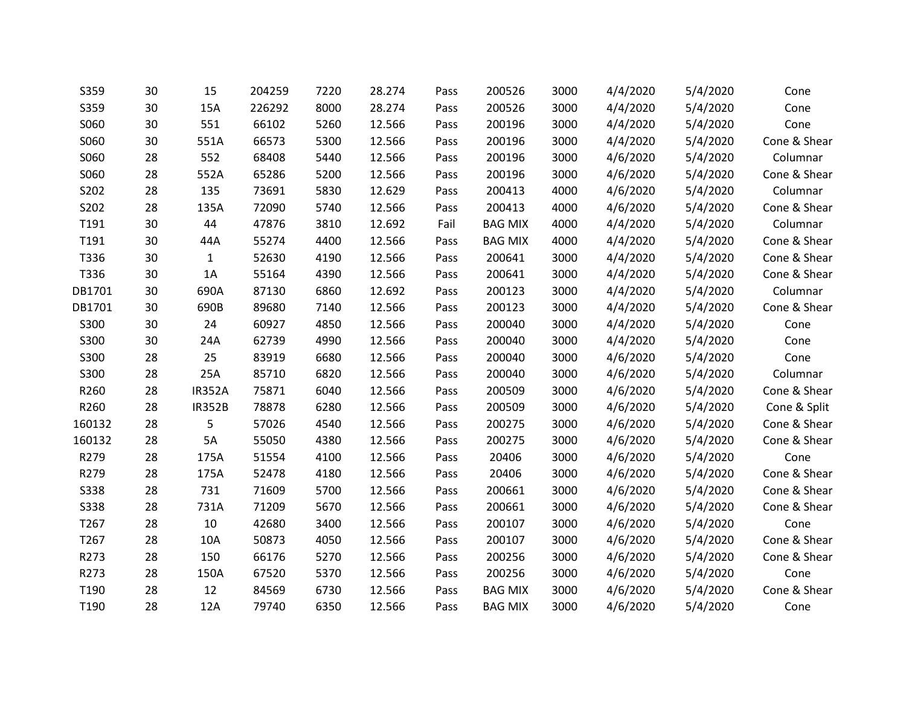| S359        | 30 | 15            | 204259 | 7220 | 28.274 | Pass | 200526         | 3000 | 4/4/2020 | 5/4/2020 | Cone         |
|-------------|----|---------------|--------|------|--------|------|----------------|------|----------|----------|--------------|
| S359        | 30 | 15A           | 226292 | 8000 | 28.274 | Pass | 200526         | 3000 | 4/4/2020 | 5/4/2020 | Cone         |
| S060        | 30 | 551           | 66102  | 5260 | 12.566 | Pass | 200196         | 3000 | 4/4/2020 | 5/4/2020 | Cone         |
| S060        | 30 | 551A          | 66573  | 5300 | 12.566 | Pass | 200196         | 3000 | 4/4/2020 | 5/4/2020 | Cone & Shear |
| S060        | 28 | 552           | 68408  | 5440 | 12.566 | Pass | 200196         | 3000 | 4/6/2020 | 5/4/2020 | Columnar     |
| S060        | 28 | 552A          | 65286  | 5200 | 12.566 | Pass | 200196         | 3000 | 4/6/2020 | 5/4/2020 | Cone & Shear |
| S202        | 28 | 135           | 73691  | 5830 | 12.629 | Pass | 200413         | 4000 | 4/6/2020 | 5/4/2020 | Columnar     |
| S202        | 28 | 135A          | 72090  | 5740 | 12.566 | Pass | 200413         | 4000 | 4/6/2020 | 5/4/2020 | Cone & Shear |
| T191        | 30 | 44            | 47876  | 3810 | 12.692 | Fail | <b>BAG MIX</b> | 4000 | 4/4/2020 | 5/4/2020 | Columnar     |
| T191        | 30 | 44A           | 55274  | 4400 | 12.566 | Pass | <b>BAG MIX</b> | 4000 | 4/4/2020 | 5/4/2020 | Cone & Shear |
| T336        | 30 | $\mathbf{1}$  | 52630  | 4190 | 12.566 | Pass | 200641         | 3000 | 4/4/2020 | 5/4/2020 | Cone & Shear |
| T336        | 30 | 1A            | 55164  | 4390 | 12.566 | Pass | 200641         | 3000 | 4/4/2020 | 5/4/2020 | Cone & Shear |
| DB1701      | 30 | 690A          | 87130  | 6860 | 12.692 | Pass | 200123         | 3000 | 4/4/2020 | 5/4/2020 | Columnar     |
| DB1701      | 30 | 690B          | 89680  | 7140 | 12.566 | Pass | 200123         | 3000 | 4/4/2020 | 5/4/2020 | Cone & Shear |
| S300        | 30 | 24            | 60927  | 4850 | 12.566 | Pass | 200040         | 3000 | 4/4/2020 | 5/4/2020 | Cone         |
| S300        | 30 | 24A           | 62739  | 4990 | 12.566 | Pass | 200040         | 3000 | 4/4/2020 | 5/4/2020 | Cone         |
| S300        | 28 | 25            | 83919  | 6680 | 12.566 | Pass | 200040         | 3000 | 4/6/2020 | 5/4/2020 | Cone         |
| S300        | 28 | 25A           | 85710  | 6820 | 12.566 | Pass | 200040         | 3000 | 4/6/2020 | 5/4/2020 | Columnar     |
| R260        | 28 | <b>IR352A</b> | 75871  | 6040 | 12.566 | Pass | 200509         | 3000 | 4/6/2020 | 5/4/2020 | Cone & Shear |
| R260        | 28 | <b>IR352B</b> | 78878  | 6280 | 12.566 | Pass | 200509         | 3000 | 4/6/2020 | 5/4/2020 | Cone & Split |
| 160132      | 28 | 5             | 57026  | 4540 | 12.566 | Pass | 200275         | 3000 | 4/6/2020 | 5/4/2020 | Cone & Shear |
| 160132      | 28 | 5A            | 55050  | 4380 | 12.566 | Pass | 200275         | 3000 | 4/6/2020 | 5/4/2020 | Cone & Shear |
| R279        | 28 | 175A          | 51554  | 4100 | 12.566 | Pass | 20406          | 3000 | 4/6/2020 | 5/4/2020 | Cone         |
| R279        | 28 | 175A          | 52478  | 4180 | 12.566 | Pass | 20406          | 3000 | 4/6/2020 | 5/4/2020 | Cone & Shear |
| <b>S338</b> | 28 | 731           | 71609  | 5700 | 12.566 | Pass | 200661         | 3000 | 4/6/2020 | 5/4/2020 | Cone & Shear |
| <b>S338</b> | 28 | 731A          | 71209  | 5670 | 12.566 | Pass | 200661         | 3000 | 4/6/2020 | 5/4/2020 | Cone & Shear |
| T267        | 28 | 10            | 42680  | 3400 | 12.566 | Pass | 200107         | 3000 | 4/6/2020 | 5/4/2020 | Cone         |
| T267        | 28 | 10A           | 50873  | 4050 | 12.566 | Pass | 200107         | 3000 | 4/6/2020 | 5/4/2020 | Cone & Shear |
| R273        | 28 | 150           | 66176  | 5270 | 12.566 | Pass | 200256         | 3000 | 4/6/2020 | 5/4/2020 | Cone & Shear |
| R273        | 28 | 150A          | 67520  | 5370 | 12.566 | Pass | 200256         | 3000 | 4/6/2020 | 5/4/2020 | Cone         |
| T190        | 28 | 12            | 84569  | 6730 | 12.566 | Pass | <b>BAG MIX</b> | 3000 | 4/6/2020 | 5/4/2020 | Cone & Shear |
| T190        | 28 | 12A           | 79740  | 6350 | 12.566 | Pass | <b>BAG MIX</b> | 3000 | 4/6/2020 | 5/4/2020 | Cone         |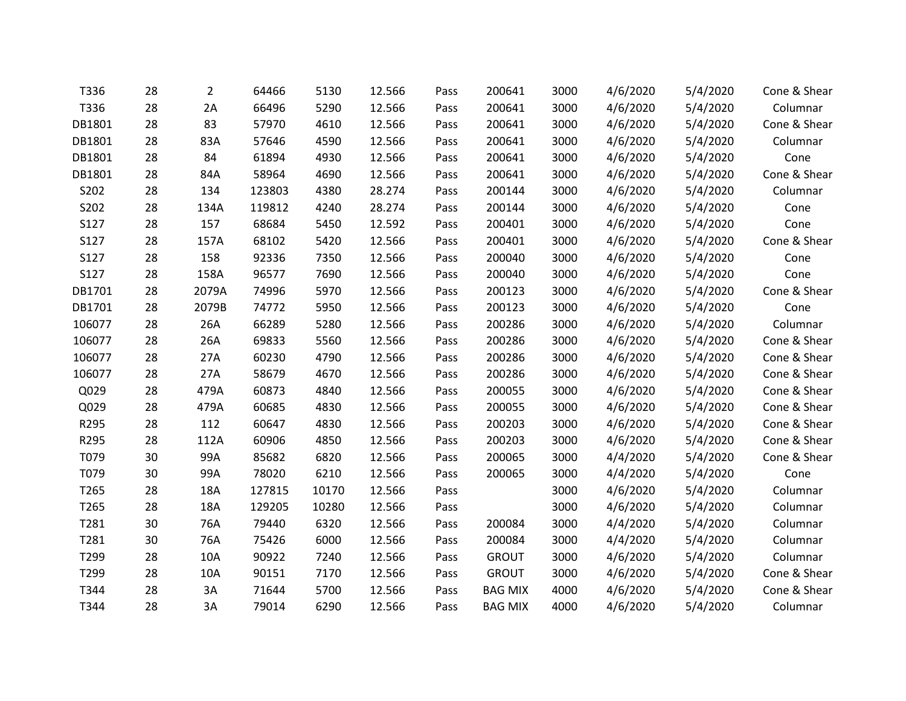| T336   | 28 | 2     | 64466  | 5130  | 12.566 | Pass | 200641         | 3000 | 4/6/2020 | 5/4/2020 | Cone & Shear |
|--------|----|-------|--------|-------|--------|------|----------------|------|----------|----------|--------------|
| T336   | 28 | 2A    | 66496  | 5290  | 12.566 | Pass | 200641         | 3000 | 4/6/2020 | 5/4/2020 | Columnar     |
| DB1801 | 28 | 83    | 57970  | 4610  | 12.566 | Pass | 200641         | 3000 | 4/6/2020 | 5/4/2020 | Cone & Shear |
| DB1801 | 28 | 83A   | 57646  | 4590  | 12.566 | Pass | 200641         | 3000 | 4/6/2020 | 5/4/2020 | Columnar     |
| DB1801 | 28 | 84    | 61894  | 4930  | 12.566 | Pass | 200641         | 3000 | 4/6/2020 | 5/4/2020 | Cone         |
| DB1801 | 28 | 84A   | 58964  | 4690  | 12.566 | Pass | 200641         | 3000 | 4/6/2020 | 5/4/2020 | Cone & Shear |
| S202   | 28 | 134   | 123803 | 4380  | 28.274 | Pass | 200144         | 3000 | 4/6/2020 | 5/4/2020 | Columnar     |
| S202   | 28 | 134A  | 119812 | 4240  | 28.274 | Pass | 200144         | 3000 | 4/6/2020 | 5/4/2020 | Cone         |
| S127   | 28 | 157   | 68684  | 5450  | 12.592 | Pass | 200401         | 3000 | 4/6/2020 | 5/4/2020 | Cone         |
| S127   | 28 | 157A  | 68102  | 5420  | 12.566 | Pass | 200401         | 3000 | 4/6/2020 | 5/4/2020 | Cone & Shear |
| S127   | 28 | 158   | 92336  | 7350  | 12.566 | Pass | 200040         | 3000 | 4/6/2020 | 5/4/2020 | Cone         |
| S127   | 28 | 158A  | 96577  | 7690  | 12.566 | Pass | 200040         | 3000 | 4/6/2020 | 5/4/2020 | Cone         |
| DB1701 | 28 | 2079A | 74996  | 5970  | 12.566 | Pass | 200123         | 3000 | 4/6/2020 | 5/4/2020 | Cone & Shear |
| DB1701 | 28 | 2079B | 74772  | 5950  | 12.566 | Pass | 200123         | 3000 | 4/6/2020 | 5/4/2020 | Cone         |
| 106077 | 28 | 26A   | 66289  | 5280  | 12.566 | Pass | 200286         | 3000 | 4/6/2020 | 5/4/2020 | Columnar     |
| 106077 | 28 | 26A   | 69833  | 5560  | 12.566 | Pass | 200286         | 3000 | 4/6/2020 | 5/4/2020 | Cone & Shear |
| 106077 | 28 | 27A   | 60230  | 4790  | 12.566 | Pass | 200286         | 3000 | 4/6/2020 | 5/4/2020 | Cone & Shear |
| 106077 | 28 | 27A   | 58679  | 4670  | 12.566 | Pass | 200286         | 3000 | 4/6/2020 | 5/4/2020 | Cone & Shear |
| Q029   | 28 | 479A  | 60873  | 4840  | 12.566 | Pass | 200055         | 3000 | 4/6/2020 | 5/4/2020 | Cone & Shear |
| Q029   | 28 | 479A  | 60685  | 4830  | 12.566 | Pass | 200055         | 3000 | 4/6/2020 | 5/4/2020 | Cone & Shear |
| R295   | 28 | 112   | 60647  | 4830  | 12.566 | Pass | 200203         | 3000 | 4/6/2020 | 5/4/2020 | Cone & Shear |
| R295   | 28 | 112A  | 60906  | 4850  | 12.566 | Pass | 200203         | 3000 | 4/6/2020 | 5/4/2020 | Cone & Shear |
| T079   | 30 | 99A   | 85682  | 6820  | 12.566 | Pass | 200065         | 3000 | 4/4/2020 | 5/4/2020 | Cone & Shear |
| T079   | 30 | 99A   | 78020  | 6210  | 12.566 | Pass | 200065         | 3000 | 4/4/2020 | 5/4/2020 | Cone         |
| T265   | 28 | 18A   | 127815 | 10170 | 12.566 | Pass |                | 3000 | 4/6/2020 | 5/4/2020 | Columnar     |
| T265   | 28 | 18A   | 129205 | 10280 | 12.566 | Pass |                | 3000 | 4/6/2020 | 5/4/2020 | Columnar     |
| T281   | 30 | 76A   | 79440  | 6320  | 12.566 | Pass | 200084         | 3000 | 4/4/2020 | 5/4/2020 | Columnar     |
| T281   | 30 | 76A   | 75426  | 6000  | 12.566 | Pass | 200084         | 3000 | 4/4/2020 | 5/4/2020 | Columnar     |
| T299   | 28 | 10A   | 90922  | 7240  | 12.566 | Pass | <b>GROUT</b>   | 3000 | 4/6/2020 | 5/4/2020 | Columnar     |
| T299   | 28 | 10A   | 90151  | 7170  | 12.566 | Pass | <b>GROUT</b>   | 3000 | 4/6/2020 | 5/4/2020 | Cone & Shear |
| T344   | 28 | 3A    | 71644  | 5700  | 12.566 | Pass | <b>BAG MIX</b> | 4000 | 4/6/2020 | 5/4/2020 | Cone & Shear |
| T344   | 28 | 3A    | 79014  | 6290  | 12.566 | Pass | <b>BAG MIX</b> | 4000 | 4/6/2020 | 5/4/2020 | Columnar     |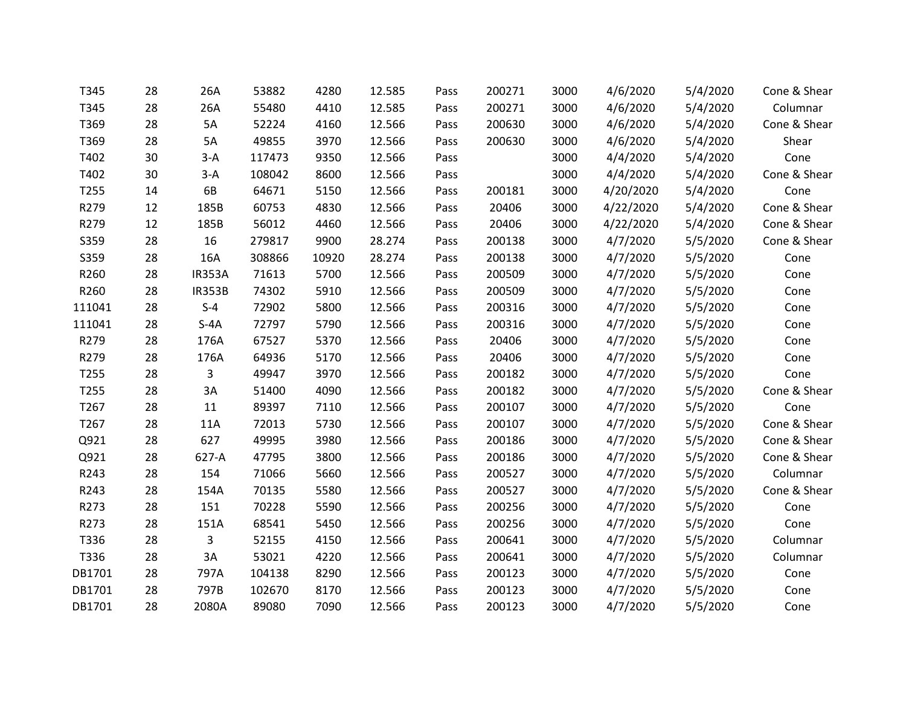| T345             | 28 | 26A           | 53882  | 4280  | 12.585 | Pass | 200271 | 3000 | 4/6/2020  | 5/4/2020 | Cone & Shear |
|------------------|----|---------------|--------|-------|--------|------|--------|------|-----------|----------|--------------|
| T345             | 28 | 26A           | 55480  | 4410  | 12.585 | Pass | 200271 | 3000 | 4/6/2020  | 5/4/2020 | Columnar     |
| T369             | 28 | 5A            | 52224  | 4160  | 12.566 | Pass | 200630 | 3000 | 4/6/2020  | 5/4/2020 | Cone & Shear |
| T369             | 28 | 5A            | 49855  | 3970  | 12.566 | Pass | 200630 | 3000 | 4/6/2020  | 5/4/2020 | Shear        |
| T402             | 30 | $3-A$         | 117473 | 9350  | 12.566 | Pass |        | 3000 | 4/4/2020  | 5/4/2020 | Cone         |
| T402             | 30 | $3-A$         | 108042 | 8600  | 12.566 | Pass |        | 3000 | 4/4/2020  | 5/4/2020 | Cone & Shear |
| T255             | 14 | 6B            | 64671  | 5150  | 12.566 | Pass | 200181 | 3000 | 4/20/2020 | 5/4/2020 | Cone         |
| R279             | 12 | 185B          | 60753  | 4830  | 12.566 | Pass | 20406  | 3000 | 4/22/2020 | 5/4/2020 | Cone & Shear |
| R279             | 12 | 185B          | 56012  | 4460  | 12.566 | Pass | 20406  | 3000 | 4/22/2020 | 5/4/2020 | Cone & Shear |
| S359             | 28 | 16            | 279817 | 9900  | 28.274 | Pass | 200138 | 3000 | 4/7/2020  | 5/5/2020 | Cone & Shear |
| S359             | 28 | 16A           | 308866 | 10920 | 28.274 | Pass | 200138 | 3000 | 4/7/2020  | 5/5/2020 | Cone         |
| R260             | 28 | <b>IR353A</b> | 71613  | 5700  | 12.566 | Pass | 200509 | 3000 | 4/7/2020  | 5/5/2020 | Cone         |
| R260             | 28 | <b>IR353B</b> | 74302  | 5910  | 12.566 | Pass | 200509 | 3000 | 4/7/2020  | 5/5/2020 | Cone         |
| 111041           | 28 | $S-4$         | 72902  | 5800  | 12.566 | Pass | 200316 | 3000 | 4/7/2020  | 5/5/2020 | Cone         |
| 111041           | 28 | $S-4A$        | 72797  | 5790  | 12.566 | Pass | 200316 | 3000 | 4/7/2020  | 5/5/2020 | Cone         |
| R279             | 28 | 176A          | 67527  | 5370  | 12.566 | Pass | 20406  | 3000 | 4/7/2020  | 5/5/2020 | Cone         |
| R279             | 28 | 176A          | 64936  | 5170  | 12.566 | Pass | 20406  | 3000 | 4/7/2020  | 5/5/2020 | Cone         |
| T <sub>255</sub> | 28 | 3             | 49947  | 3970  | 12.566 | Pass | 200182 | 3000 | 4/7/2020  | 5/5/2020 | Cone         |
| T255             | 28 | 3A            | 51400  | 4090  | 12.566 | Pass | 200182 | 3000 | 4/7/2020  | 5/5/2020 | Cone & Shear |
| T267             | 28 | 11            | 89397  | 7110  | 12.566 | Pass | 200107 | 3000 | 4/7/2020  | 5/5/2020 | Cone         |
| T267             | 28 | 11A           | 72013  | 5730  | 12.566 | Pass | 200107 | 3000 | 4/7/2020  | 5/5/2020 | Cone & Shear |
| Q921             | 28 | 627           | 49995  | 3980  | 12.566 | Pass | 200186 | 3000 | 4/7/2020  | 5/5/2020 | Cone & Shear |
| Q921             | 28 | 627-A         | 47795  | 3800  | 12.566 | Pass | 200186 | 3000 | 4/7/2020  | 5/5/2020 | Cone & Shear |
| R243             | 28 | 154           | 71066  | 5660  | 12.566 | Pass | 200527 | 3000 | 4/7/2020  | 5/5/2020 | Columnar     |
| R243             | 28 | 154A          | 70135  | 5580  | 12.566 | Pass | 200527 | 3000 | 4/7/2020  | 5/5/2020 | Cone & Shear |
| R273             | 28 | 151           | 70228  | 5590  | 12.566 | Pass | 200256 | 3000 | 4/7/2020  | 5/5/2020 | Cone         |
| R273             | 28 | 151A          | 68541  | 5450  | 12.566 | Pass | 200256 | 3000 | 4/7/2020  | 5/5/2020 | Cone         |
| T336             | 28 | 3             | 52155  | 4150  | 12.566 | Pass | 200641 | 3000 | 4/7/2020  | 5/5/2020 | Columnar     |
| T336             | 28 | 3A            | 53021  | 4220  | 12.566 | Pass | 200641 | 3000 | 4/7/2020  | 5/5/2020 | Columnar     |
| DB1701           | 28 | 797A          | 104138 | 8290  | 12.566 | Pass | 200123 | 3000 | 4/7/2020  | 5/5/2020 | Cone         |
| DB1701           | 28 | 797B          | 102670 | 8170  | 12.566 | Pass | 200123 | 3000 | 4/7/2020  | 5/5/2020 | Cone         |
| DB1701           | 28 | 2080A         | 89080  | 7090  | 12.566 | Pass | 200123 | 3000 | 4/7/2020  | 5/5/2020 | Cone         |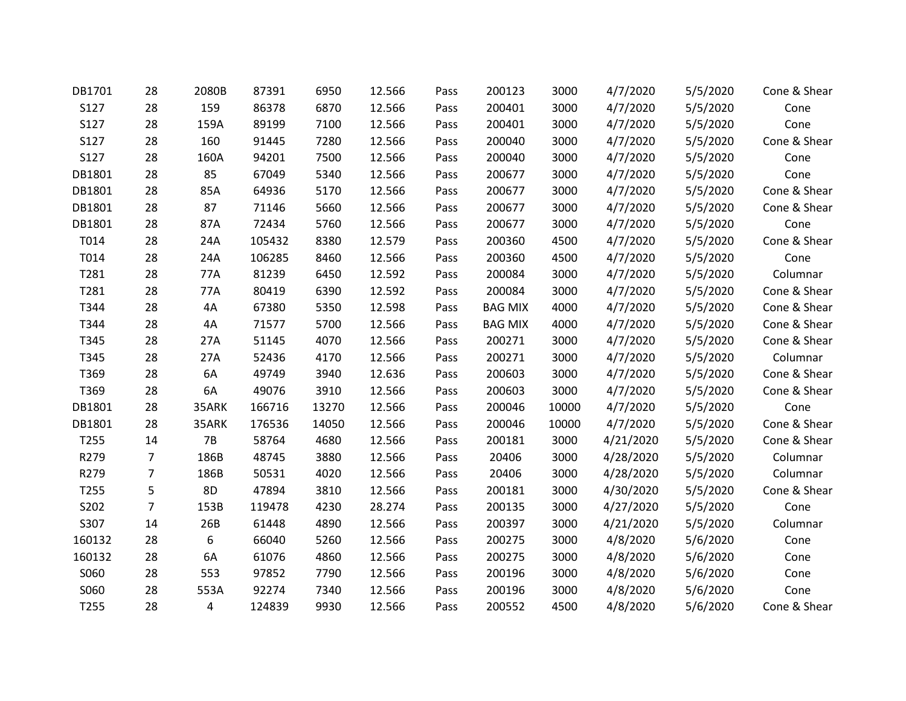| DB1701           | 28             | 2080B     | 87391  | 6950  | 12.566 | Pass | 200123         | 3000  | 4/7/2020  | 5/5/2020 | Cone & Shear |
|------------------|----------------|-----------|--------|-------|--------|------|----------------|-------|-----------|----------|--------------|
| S127             | 28             | 159       | 86378  | 6870  | 12.566 | Pass | 200401         | 3000  | 4/7/2020  | 5/5/2020 | Cone         |
| S127             | 28             | 159A      | 89199  | 7100  | 12.566 | Pass | 200401         | 3000  | 4/7/2020  | 5/5/2020 | Cone         |
| S127             | 28             | 160       | 91445  | 7280  | 12.566 | Pass | 200040         | 3000  | 4/7/2020  | 5/5/2020 | Cone & Shear |
| S127             | 28             | 160A      | 94201  | 7500  | 12.566 | Pass | 200040         | 3000  | 4/7/2020  | 5/5/2020 | Cone         |
| DB1801           | 28             | 85        | 67049  | 5340  | 12.566 | Pass | 200677         | 3000  | 4/7/2020  | 5/5/2020 | Cone         |
| DB1801           | 28             | 85A       | 64936  | 5170  | 12.566 | Pass | 200677         | 3000  | 4/7/2020  | 5/5/2020 | Cone & Shear |
| DB1801           | 28             | 87        | 71146  | 5660  | 12.566 | Pass | 200677         | 3000  | 4/7/2020  | 5/5/2020 | Cone & Shear |
| DB1801           | 28             | 87A       | 72434  | 5760  | 12.566 | Pass | 200677         | 3000  | 4/7/2020  | 5/5/2020 | Cone         |
| T014             | 28             | 24A       | 105432 | 8380  | 12.579 | Pass | 200360         | 4500  | 4/7/2020  | 5/5/2020 | Cone & Shear |
| T014             | 28             | 24A       | 106285 | 8460  | 12.566 | Pass | 200360         | 4500  | 4/7/2020  | 5/5/2020 | Cone         |
| T281             | 28             | 77A       | 81239  | 6450  | 12.592 | Pass | 200084         | 3000  | 4/7/2020  | 5/5/2020 | Columnar     |
| T281             | 28             | 77A       | 80419  | 6390  | 12.592 | Pass | 200084         | 3000  | 4/7/2020  | 5/5/2020 | Cone & Shear |
| T344             | 28             | 4A        | 67380  | 5350  | 12.598 | Pass | <b>BAG MIX</b> | 4000  | 4/7/2020  | 5/5/2020 | Cone & Shear |
| T344             | 28             | 4A        | 71577  | 5700  | 12.566 | Pass | <b>BAG MIX</b> | 4000  | 4/7/2020  | 5/5/2020 | Cone & Shear |
| T345             | 28             | 27A       | 51145  | 4070  | 12.566 | Pass | 200271         | 3000  | 4/7/2020  | 5/5/2020 | Cone & Shear |
| T345             | 28             | 27A       | 52436  | 4170  | 12.566 | Pass | 200271         | 3000  | 4/7/2020  | 5/5/2020 | Columnar     |
| T369             | 28             | 6A        | 49749  | 3940  | 12.636 | Pass | 200603         | 3000  | 4/7/2020  | 5/5/2020 | Cone & Shear |
| T369             | 28             | 6A        | 49076  | 3910  | 12.566 | Pass | 200603         | 3000  | 4/7/2020  | 5/5/2020 | Cone & Shear |
| DB1801           | 28             | 35ARK     | 166716 | 13270 | 12.566 | Pass | 200046         | 10000 | 4/7/2020  | 5/5/2020 | Cone         |
| DB1801           | 28             | 35ARK     | 176536 | 14050 | 12.566 | Pass | 200046         | 10000 | 4/7/2020  | 5/5/2020 | Cone & Shear |
| T255             | 14             | <b>7B</b> | 58764  | 4680  | 12.566 | Pass | 200181         | 3000  | 4/21/2020 | 5/5/2020 | Cone & Shear |
| R279             | 7              | 186B      | 48745  | 3880  | 12.566 | Pass | 20406          | 3000  | 4/28/2020 | 5/5/2020 | Columnar     |
| R279             | 7              | 186B      | 50531  | 4020  | 12.566 | Pass | 20406          | 3000  | 4/28/2020 | 5/5/2020 | Columnar     |
| T255             | 5              | 8D        | 47894  | 3810  | 12.566 | Pass | 200181         | 3000  | 4/30/2020 | 5/5/2020 | Cone & Shear |
| S202             | $\overline{7}$ | 153B      | 119478 | 4230  | 28.274 | Pass | 200135         | 3000  | 4/27/2020 | 5/5/2020 | Cone         |
| S307             | 14             | 26B       | 61448  | 4890  | 12.566 | Pass | 200397         | 3000  | 4/21/2020 | 5/5/2020 | Columnar     |
| 160132           | 28             | 6         | 66040  | 5260  | 12.566 | Pass | 200275         | 3000  | 4/8/2020  | 5/6/2020 | Cone         |
| 160132           | 28             | 6A        | 61076  | 4860  | 12.566 | Pass | 200275         | 3000  | 4/8/2020  | 5/6/2020 | Cone         |
| S060             | 28             | 553       | 97852  | 7790  | 12.566 | Pass | 200196         | 3000  | 4/8/2020  | 5/6/2020 | Cone         |
| S060             | 28             | 553A      | 92274  | 7340  | 12.566 | Pass | 200196         | 3000  | 4/8/2020  | 5/6/2020 | Cone         |
| T <sub>255</sub> | 28             | 4         | 124839 | 9930  | 12.566 | Pass | 200552         | 4500  | 4/8/2020  | 5/6/2020 | Cone & Shear |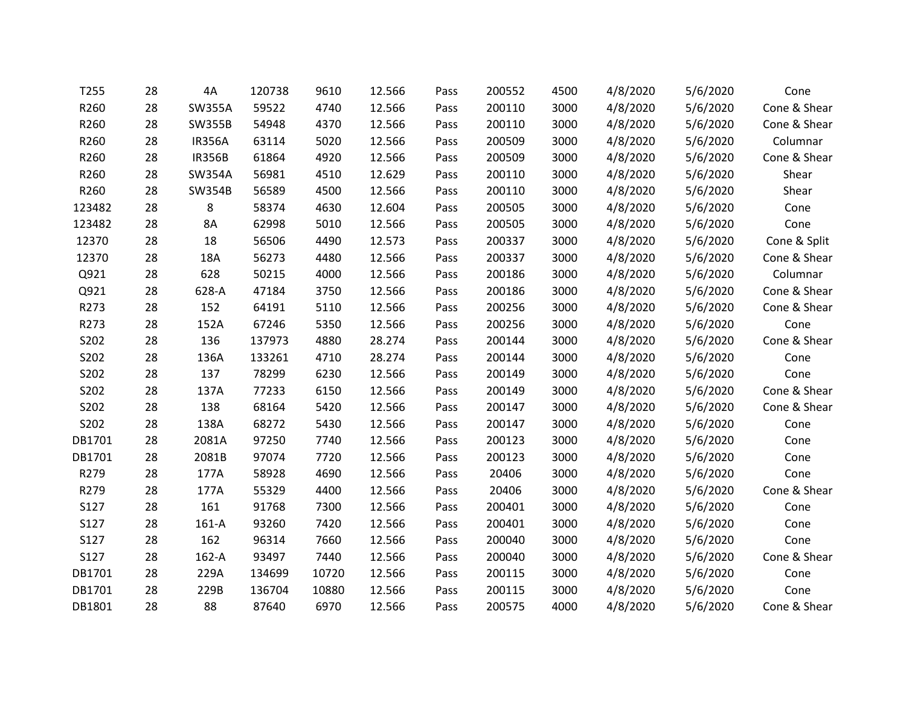| T255   | 28 | 4A            | 120738 | 9610  | 12.566 | Pass | 200552 | 4500 | 4/8/2020 | 5/6/2020 | Cone         |
|--------|----|---------------|--------|-------|--------|------|--------|------|----------|----------|--------------|
| R260   | 28 | <b>SW355A</b> | 59522  | 4740  | 12.566 | Pass | 200110 | 3000 | 4/8/2020 | 5/6/2020 | Cone & Shear |
| R260   | 28 | <b>SW355B</b> | 54948  | 4370  | 12.566 | Pass | 200110 | 3000 | 4/8/2020 | 5/6/2020 | Cone & Shear |
| R260   | 28 | <b>IR356A</b> | 63114  | 5020  | 12.566 | Pass | 200509 | 3000 | 4/8/2020 | 5/6/2020 | Columnar     |
| R260   | 28 | <b>IR356B</b> | 61864  | 4920  | 12.566 | Pass | 200509 | 3000 | 4/8/2020 | 5/6/2020 | Cone & Shear |
| R260   | 28 | <b>SW354A</b> | 56981  | 4510  | 12.629 | Pass | 200110 | 3000 | 4/8/2020 | 5/6/2020 | Shear        |
| R260   | 28 | <b>SW354B</b> | 56589  | 4500  | 12.566 | Pass | 200110 | 3000 | 4/8/2020 | 5/6/2020 | Shear        |
| 123482 | 28 | 8             | 58374  | 4630  | 12.604 | Pass | 200505 | 3000 | 4/8/2020 | 5/6/2020 | Cone         |
| 123482 | 28 | 8A            | 62998  | 5010  | 12.566 | Pass | 200505 | 3000 | 4/8/2020 | 5/6/2020 | Cone         |
| 12370  | 28 | 18            | 56506  | 4490  | 12.573 | Pass | 200337 | 3000 | 4/8/2020 | 5/6/2020 | Cone & Split |
| 12370  | 28 | 18A           | 56273  | 4480  | 12.566 | Pass | 200337 | 3000 | 4/8/2020 | 5/6/2020 | Cone & Shear |
| Q921   | 28 | 628           | 50215  | 4000  | 12.566 | Pass | 200186 | 3000 | 4/8/2020 | 5/6/2020 | Columnar     |
| Q921   | 28 | 628-A         | 47184  | 3750  | 12.566 | Pass | 200186 | 3000 | 4/8/2020 | 5/6/2020 | Cone & Shear |
| R273   | 28 | 152           | 64191  | 5110  | 12.566 | Pass | 200256 | 3000 | 4/8/2020 | 5/6/2020 | Cone & Shear |
| R273   | 28 | 152A          | 67246  | 5350  | 12.566 | Pass | 200256 | 3000 | 4/8/2020 | 5/6/2020 | Cone         |
| S202   | 28 | 136           | 137973 | 4880  | 28.274 | Pass | 200144 | 3000 | 4/8/2020 | 5/6/2020 | Cone & Shear |
| S202   | 28 | 136A          | 133261 | 4710  | 28.274 | Pass | 200144 | 3000 | 4/8/2020 | 5/6/2020 | Cone         |
| S202   | 28 | 137           | 78299  | 6230  | 12.566 | Pass | 200149 | 3000 | 4/8/2020 | 5/6/2020 | Cone         |
| S202   | 28 | 137A          | 77233  | 6150  | 12.566 | Pass | 200149 | 3000 | 4/8/2020 | 5/6/2020 | Cone & Shear |
| S202   | 28 | 138           | 68164  | 5420  | 12.566 | Pass | 200147 | 3000 | 4/8/2020 | 5/6/2020 | Cone & Shear |
| S202   | 28 | 138A          | 68272  | 5430  | 12.566 | Pass | 200147 | 3000 | 4/8/2020 | 5/6/2020 | Cone         |
| DB1701 | 28 | 2081A         | 97250  | 7740  | 12.566 | Pass | 200123 | 3000 | 4/8/2020 | 5/6/2020 | Cone         |
| DB1701 | 28 | 2081B         | 97074  | 7720  | 12.566 | Pass | 200123 | 3000 | 4/8/2020 | 5/6/2020 | Cone         |
| R279   | 28 | 177A          | 58928  | 4690  | 12.566 | Pass | 20406  | 3000 | 4/8/2020 | 5/6/2020 | Cone         |
| R279   | 28 | 177A          | 55329  | 4400  | 12.566 | Pass | 20406  | 3000 | 4/8/2020 | 5/6/2020 | Cone & Shear |
| S127   | 28 | 161           | 91768  | 7300  | 12.566 | Pass | 200401 | 3000 | 4/8/2020 | 5/6/2020 | Cone         |
| S127   | 28 | $161-A$       | 93260  | 7420  | 12.566 | Pass | 200401 | 3000 | 4/8/2020 | 5/6/2020 | Cone         |
| S127   | 28 | 162           | 96314  | 7660  | 12.566 | Pass | 200040 | 3000 | 4/8/2020 | 5/6/2020 | Cone         |
| S127   | 28 | $162-A$       | 93497  | 7440  | 12.566 | Pass | 200040 | 3000 | 4/8/2020 | 5/6/2020 | Cone & Shear |
| DB1701 | 28 | 229A          | 134699 | 10720 | 12.566 | Pass | 200115 | 3000 | 4/8/2020 | 5/6/2020 | Cone         |
| DB1701 | 28 | 229B          | 136704 | 10880 | 12.566 | Pass | 200115 | 3000 | 4/8/2020 | 5/6/2020 | Cone         |
| DB1801 | 28 | 88            | 87640  | 6970  | 12.566 | Pass | 200575 | 4000 | 4/8/2020 | 5/6/2020 | Cone & Shear |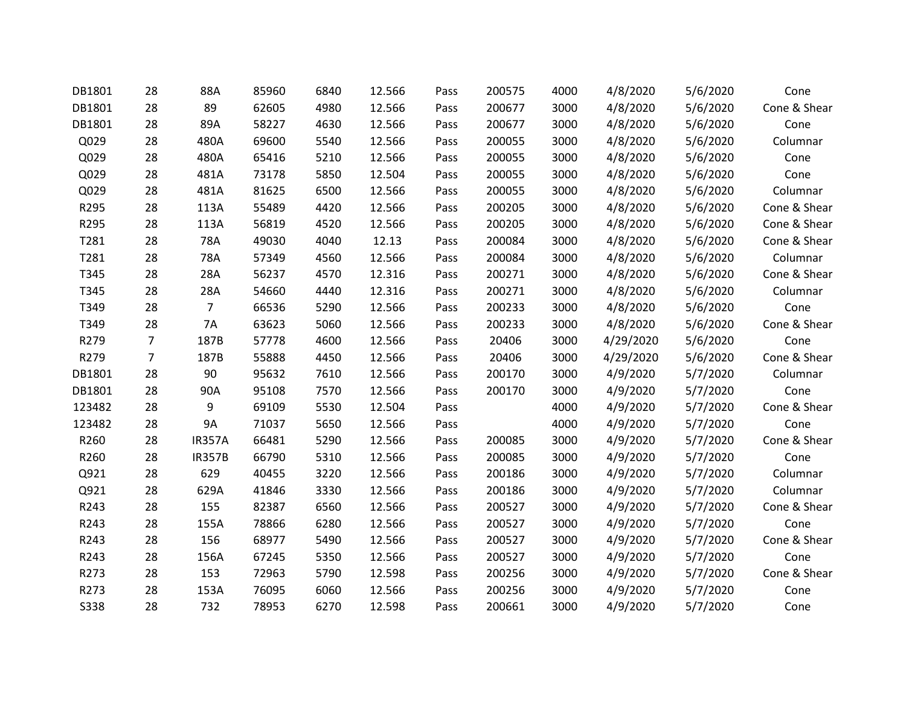| DB1801      | 28             | 88A            | 85960 | 6840 | 12.566 | Pass | 200575 | 4000 | 4/8/2020  | 5/6/2020 | Cone         |
|-------------|----------------|----------------|-------|------|--------|------|--------|------|-----------|----------|--------------|
| DB1801      | 28             | 89             | 62605 | 4980 | 12.566 | Pass | 200677 | 3000 | 4/8/2020  | 5/6/2020 | Cone & Shear |
| DB1801      | 28             | 89A            | 58227 | 4630 | 12.566 | Pass | 200677 | 3000 | 4/8/2020  | 5/6/2020 | Cone         |
| Q029        | 28             | 480A           | 69600 | 5540 | 12.566 | Pass | 200055 | 3000 | 4/8/2020  | 5/6/2020 | Columnar     |
| Q029        | 28             | 480A           | 65416 | 5210 | 12.566 | Pass | 200055 | 3000 | 4/8/2020  | 5/6/2020 | Cone         |
| Q029        | 28             | 481A           | 73178 | 5850 | 12.504 | Pass | 200055 | 3000 | 4/8/2020  | 5/6/2020 | Cone         |
| Q029        | 28             | 481A           | 81625 | 6500 | 12.566 | Pass | 200055 | 3000 | 4/8/2020  | 5/6/2020 | Columnar     |
| R295        | 28             | 113A           | 55489 | 4420 | 12.566 | Pass | 200205 | 3000 | 4/8/2020  | 5/6/2020 | Cone & Shear |
| R295        | 28             | 113A           | 56819 | 4520 | 12.566 | Pass | 200205 | 3000 | 4/8/2020  | 5/6/2020 | Cone & Shear |
| T281        | 28             | 78A            | 49030 | 4040 | 12.13  | Pass | 200084 | 3000 | 4/8/2020  | 5/6/2020 | Cone & Shear |
| T281        | 28             | 78A            | 57349 | 4560 | 12.566 | Pass | 200084 | 3000 | 4/8/2020  | 5/6/2020 | Columnar     |
| T345        | 28             | 28A            | 56237 | 4570 | 12.316 | Pass | 200271 | 3000 | 4/8/2020  | 5/6/2020 | Cone & Shear |
| T345        | 28             | 28A            | 54660 | 4440 | 12.316 | Pass | 200271 | 3000 | 4/8/2020  | 5/6/2020 | Columnar     |
| T349        | 28             | $\overline{7}$ | 66536 | 5290 | 12.566 | Pass | 200233 | 3000 | 4/8/2020  | 5/6/2020 | Cone         |
| T349        | 28             | 7A             | 63623 | 5060 | 12.566 | Pass | 200233 | 3000 | 4/8/2020  | 5/6/2020 | Cone & Shear |
| R279        | 7              | 187B           | 57778 | 4600 | 12.566 | Pass | 20406  | 3000 | 4/29/2020 | 5/6/2020 | Cone         |
| R279        | $\overline{7}$ | 187B           | 55888 | 4450 | 12.566 | Pass | 20406  | 3000 | 4/29/2020 | 5/6/2020 | Cone & Shear |
| DB1801      | 28             | 90             | 95632 | 7610 | 12.566 | Pass | 200170 | 3000 | 4/9/2020  | 5/7/2020 | Columnar     |
| DB1801      | 28             | 90A            | 95108 | 7570 | 12.566 | Pass | 200170 | 3000 | 4/9/2020  | 5/7/2020 | Cone         |
| 123482      | 28             | 9              | 69109 | 5530 | 12.504 | Pass |        | 4000 | 4/9/2020  | 5/7/2020 | Cone & Shear |
| 123482      | 28             | <b>9A</b>      | 71037 | 5650 | 12.566 | Pass |        | 4000 | 4/9/2020  | 5/7/2020 | Cone         |
| R260        | 28             | <b>IR357A</b>  | 66481 | 5290 | 12.566 | Pass | 200085 | 3000 | 4/9/2020  | 5/7/2020 | Cone & Shear |
| R260        | 28             | <b>IR357B</b>  | 66790 | 5310 | 12.566 | Pass | 200085 | 3000 | 4/9/2020  | 5/7/2020 | Cone         |
| Q921        | 28             | 629            | 40455 | 3220 | 12.566 | Pass | 200186 | 3000 | 4/9/2020  | 5/7/2020 | Columnar     |
| Q921        | 28             | 629A           | 41846 | 3330 | 12.566 | Pass | 200186 | 3000 | 4/9/2020  | 5/7/2020 | Columnar     |
| R243        | 28             | 155            | 82387 | 6560 | 12.566 | Pass | 200527 | 3000 | 4/9/2020  | 5/7/2020 | Cone & Shear |
| R243        | 28             | 155A           | 78866 | 6280 | 12.566 | Pass | 200527 | 3000 | 4/9/2020  | 5/7/2020 | Cone         |
| R243        | 28             | 156            | 68977 | 5490 | 12.566 | Pass | 200527 | 3000 | 4/9/2020  | 5/7/2020 | Cone & Shear |
| R243        | 28             | 156A           | 67245 | 5350 | 12.566 | Pass | 200527 | 3000 | 4/9/2020  | 5/7/2020 | Cone         |
| R273        | 28             | 153            | 72963 | 5790 | 12.598 | Pass | 200256 | 3000 | 4/9/2020  | 5/7/2020 | Cone & Shear |
| R273        | 28             | 153A           | 76095 | 6060 | 12.566 | Pass | 200256 | 3000 | 4/9/2020  | 5/7/2020 | Cone         |
| <b>S338</b> | 28             | 732            | 78953 | 6270 | 12.598 | Pass | 200661 | 3000 | 4/9/2020  | 5/7/2020 | Cone         |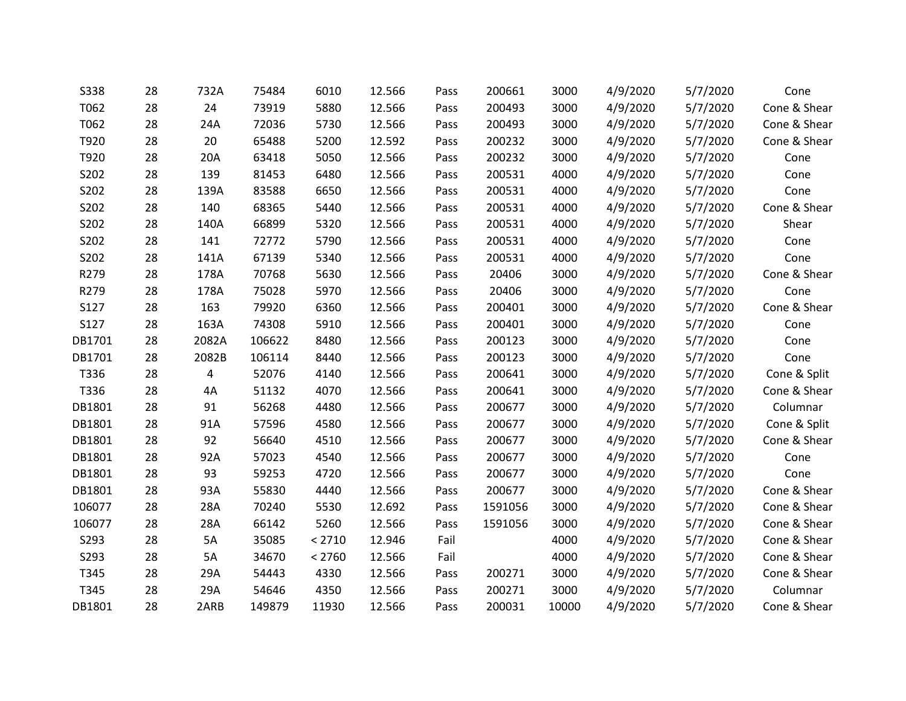| <b>S338</b> | 28 | 732A  | 75484  | 6010   | 12.566 | Pass | 200661  | 3000  | 4/9/2020 | 5/7/2020 | Cone         |
|-------------|----|-------|--------|--------|--------|------|---------|-------|----------|----------|--------------|
| T062        | 28 | 24    | 73919  | 5880   | 12.566 | Pass | 200493  | 3000  | 4/9/2020 | 5/7/2020 | Cone & Shear |
| T062        | 28 | 24A   | 72036  | 5730   | 12.566 | Pass | 200493  | 3000  | 4/9/2020 | 5/7/2020 | Cone & Shear |
| T920        | 28 | 20    | 65488  | 5200   | 12.592 | Pass | 200232  | 3000  | 4/9/2020 | 5/7/2020 | Cone & Shear |
| T920        | 28 | 20A   | 63418  | 5050   | 12.566 | Pass | 200232  | 3000  | 4/9/2020 | 5/7/2020 | Cone         |
| S202        | 28 | 139   | 81453  | 6480   | 12.566 | Pass | 200531  | 4000  | 4/9/2020 | 5/7/2020 | Cone         |
| S202        | 28 | 139A  | 83588  | 6650   | 12.566 | Pass | 200531  | 4000  | 4/9/2020 | 5/7/2020 | Cone         |
| S202        | 28 | 140   | 68365  | 5440   | 12.566 | Pass | 200531  | 4000  | 4/9/2020 | 5/7/2020 | Cone & Shear |
| S202        | 28 | 140A  | 66899  | 5320   | 12.566 | Pass | 200531  | 4000  | 4/9/2020 | 5/7/2020 | Shear        |
| S202        | 28 | 141   | 72772  | 5790   | 12.566 | Pass | 200531  | 4000  | 4/9/2020 | 5/7/2020 | Cone         |
| S202        | 28 | 141A  | 67139  | 5340   | 12.566 | Pass | 200531  | 4000  | 4/9/2020 | 5/7/2020 | Cone         |
| R279        | 28 | 178A  | 70768  | 5630   | 12.566 | Pass | 20406   | 3000  | 4/9/2020 | 5/7/2020 | Cone & Shear |
| R279        | 28 | 178A  | 75028  | 5970   | 12.566 | Pass | 20406   | 3000  | 4/9/2020 | 5/7/2020 | Cone         |
| S127        | 28 | 163   | 79920  | 6360   | 12.566 | Pass | 200401  | 3000  | 4/9/2020 | 5/7/2020 | Cone & Shear |
| S127        | 28 | 163A  | 74308  | 5910   | 12.566 | Pass | 200401  | 3000  | 4/9/2020 | 5/7/2020 | Cone         |
| DB1701      | 28 | 2082A | 106622 | 8480   | 12.566 | Pass | 200123  | 3000  | 4/9/2020 | 5/7/2020 | Cone         |
| DB1701      | 28 | 2082B | 106114 | 8440   | 12.566 | Pass | 200123  | 3000  | 4/9/2020 | 5/7/2020 | Cone         |
| T336        | 28 | 4     | 52076  | 4140   | 12.566 | Pass | 200641  | 3000  | 4/9/2020 | 5/7/2020 | Cone & Split |
| T336        | 28 | 4A    | 51132  | 4070   | 12.566 | Pass | 200641  | 3000  | 4/9/2020 | 5/7/2020 | Cone & Shear |
| DB1801      | 28 | 91    | 56268  | 4480   | 12.566 | Pass | 200677  | 3000  | 4/9/2020 | 5/7/2020 | Columnar     |
| DB1801      | 28 | 91A   | 57596  | 4580   | 12.566 | Pass | 200677  | 3000  | 4/9/2020 | 5/7/2020 | Cone & Split |
| DB1801      | 28 | 92    | 56640  | 4510   | 12.566 | Pass | 200677  | 3000  | 4/9/2020 | 5/7/2020 | Cone & Shear |
| DB1801      | 28 | 92A   | 57023  | 4540   | 12.566 | Pass | 200677  | 3000  | 4/9/2020 | 5/7/2020 | Cone         |
| DB1801      | 28 | 93    | 59253  | 4720   | 12.566 | Pass | 200677  | 3000  | 4/9/2020 | 5/7/2020 | Cone         |
| DB1801      | 28 | 93A   | 55830  | 4440   | 12.566 | Pass | 200677  | 3000  | 4/9/2020 | 5/7/2020 | Cone & Shear |
| 106077      | 28 | 28A   | 70240  | 5530   | 12.692 | Pass | 1591056 | 3000  | 4/9/2020 | 5/7/2020 | Cone & Shear |
| 106077      | 28 | 28A   | 66142  | 5260   | 12.566 | Pass | 1591056 | 3000  | 4/9/2020 | 5/7/2020 | Cone & Shear |
| S293        | 28 | 5A    | 35085  | < 2710 | 12.946 | Fail |         | 4000  | 4/9/2020 | 5/7/2020 | Cone & Shear |
| S293        | 28 | 5A    | 34670  | < 2760 | 12.566 | Fail |         | 4000  | 4/9/2020 | 5/7/2020 | Cone & Shear |
| T345        | 28 | 29A   | 54443  | 4330   | 12.566 | Pass | 200271  | 3000  | 4/9/2020 | 5/7/2020 | Cone & Shear |
| T345        | 28 | 29A   | 54646  | 4350   | 12.566 | Pass | 200271  | 3000  | 4/9/2020 | 5/7/2020 | Columnar     |
| DB1801      | 28 | 2ARB  | 149879 | 11930  | 12.566 | Pass | 200031  | 10000 | 4/9/2020 | 5/7/2020 | Cone & Shear |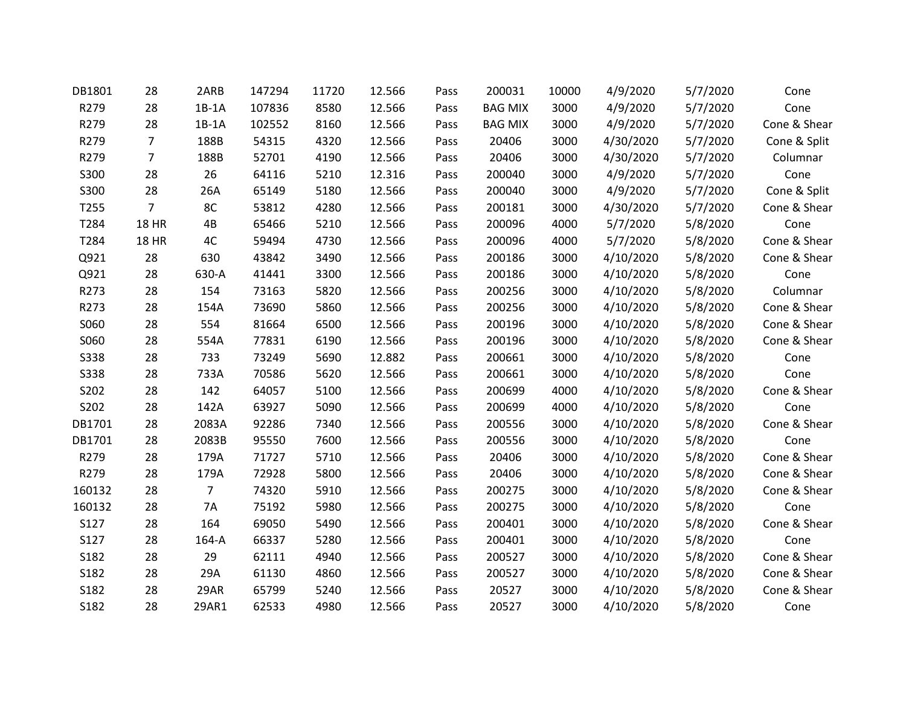| DB1801      | 28             | 2ARB           | 147294 | 11720 | 12.566 | Pass | 200031         | 10000 | 4/9/2020  | 5/7/2020 | Cone         |
|-------------|----------------|----------------|--------|-------|--------|------|----------------|-------|-----------|----------|--------------|
| R279        | 28             | $1B-1A$        | 107836 | 8580  | 12.566 | Pass | <b>BAG MIX</b> | 3000  | 4/9/2020  | 5/7/2020 | Cone         |
| R279        | 28             | $1B-1A$        | 102552 | 8160  | 12.566 | Pass | <b>BAG MIX</b> | 3000  | 4/9/2020  | 5/7/2020 | Cone & Shear |
| R279        | 7              | 188B           | 54315  | 4320  | 12.566 | Pass | 20406          | 3000  | 4/30/2020 | 5/7/2020 | Cone & Split |
| R279        | 7              | 188B           | 52701  | 4190  | 12.566 | Pass | 20406          | 3000  | 4/30/2020 | 5/7/2020 | Columnar     |
| S300        | 28             | 26             | 64116  | 5210  | 12.316 | Pass | 200040         | 3000  | 4/9/2020  | 5/7/2020 | Cone         |
| S300        | 28             | 26A            | 65149  | 5180  | 12.566 | Pass | 200040         | 3000  | 4/9/2020  | 5/7/2020 | Cone & Split |
| T255        | $\overline{7}$ | 8C             | 53812  | 4280  | 12.566 | Pass | 200181         | 3000  | 4/30/2020 | 5/7/2020 | Cone & Shear |
| T284        | <b>18 HR</b>   | 4B             | 65466  | 5210  | 12.566 | Pass | 200096         | 4000  | 5/7/2020  | 5/8/2020 | Cone         |
| T284        | <b>18 HR</b>   | 4C             | 59494  | 4730  | 12.566 | Pass | 200096         | 4000  | 5/7/2020  | 5/8/2020 | Cone & Shear |
| Q921        | 28             | 630            | 43842  | 3490  | 12.566 | Pass | 200186         | 3000  | 4/10/2020 | 5/8/2020 | Cone & Shear |
| Q921        | 28             | 630-A          | 41441  | 3300  | 12.566 | Pass | 200186         | 3000  | 4/10/2020 | 5/8/2020 | Cone         |
| R273        | 28             | 154            | 73163  | 5820  | 12.566 | Pass | 200256         | 3000  | 4/10/2020 | 5/8/2020 | Columnar     |
| R273        | 28             | 154A           | 73690  | 5860  | 12.566 | Pass | 200256         | 3000  | 4/10/2020 | 5/8/2020 | Cone & Shear |
| S060        | 28             | 554            | 81664  | 6500  | 12.566 | Pass | 200196         | 3000  | 4/10/2020 | 5/8/2020 | Cone & Shear |
| S060        | 28             | 554A           | 77831  | 6190  | 12.566 | Pass | 200196         | 3000  | 4/10/2020 | 5/8/2020 | Cone & Shear |
| <b>S338</b> | 28             | 733            | 73249  | 5690  | 12.882 | Pass | 200661         | 3000  | 4/10/2020 | 5/8/2020 | Cone         |
| <b>S338</b> | 28             | 733A           | 70586  | 5620  | 12.566 | Pass | 200661         | 3000  | 4/10/2020 | 5/8/2020 | Cone         |
| S202        | 28             | 142            | 64057  | 5100  | 12.566 | Pass | 200699         | 4000  | 4/10/2020 | 5/8/2020 | Cone & Shear |
| S202        | 28             | 142A           | 63927  | 5090  | 12.566 | Pass | 200699         | 4000  | 4/10/2020 | 5/8/2020 | Cone         |
| DB1701      | 28             | 2083A          | 92286  | 7340  | 12.566 | Pass | 200556         | 3000  | 4/10/2020 | 5/8/2020 | Cone & Shear |
| DB1701      | 28             | 2083B          | 95550  | 7600  | 12.566 | Pass | 200556         | 3000  | 4/10/2020 | 5/8/2020 | Cone         |
| R279        | 28             | 179A           | 71727  | 5710  | 12.566 | Pass | 20406          | 3000  | 4/10/2020 | 5/8/2020 | Cone & Shear |
| R279        | 28             | 179A           | 72928  | 5800  | 12.566 | Pass | 20406          | 3000  | 4/10/2020 | 5/8/2020 | Cone & Shear |
| 160132      | 28             | $\overline{7}$ | 74320  | 5910  | 12.566 | Pass | 200275         | 3000  | 4/10/2020 | 5/8/2020 | Cone & Shear |
| 160132      | 28             | <b>7A</b>      | 75192  | 5980  | 12.566 | Pass | 200275         | 3000  | 4/10/2020 | 5/8/2020 | Cone         |
| S127        | 28             | 164            | 69050  | 5490  | 12.566 | Pass | 200401         | 3000  | 4/10/2020 | 5/8/2020 | Cone & Shear |
| S127        | 28             | 164-A          | 66337  | 5280  | 12.566 | Pass | 200401         | 3000  | 4/10/2020 | 5/8/2020 | Cone         |
| S182        | 28             | 29             | 62111  | 4940  | 12.566 | Pass | 200527         | 3000  | 4/10/2020 | 5/8/2020 | Cone & Shear |
| S182        | 28             | 29A            | 61130  | 4860  | 12.566 | Pass | 200527         | 3000  | 4/10/2020 | 5/8/2020 | Cone & Shear |
| S182        | 28             | 29AR           | 65799  | 5240  | 12.566 | Pass | 20527          | 3000  | 4/10/2020 | 5/8/2020 | Cone & Shear |
| S182        | 28             | 29AR1          | 62533  | 4980  | 12.566 | Pass | 20527          | 3000  | 4/10/2020 | 5/8/2020 | Cone         |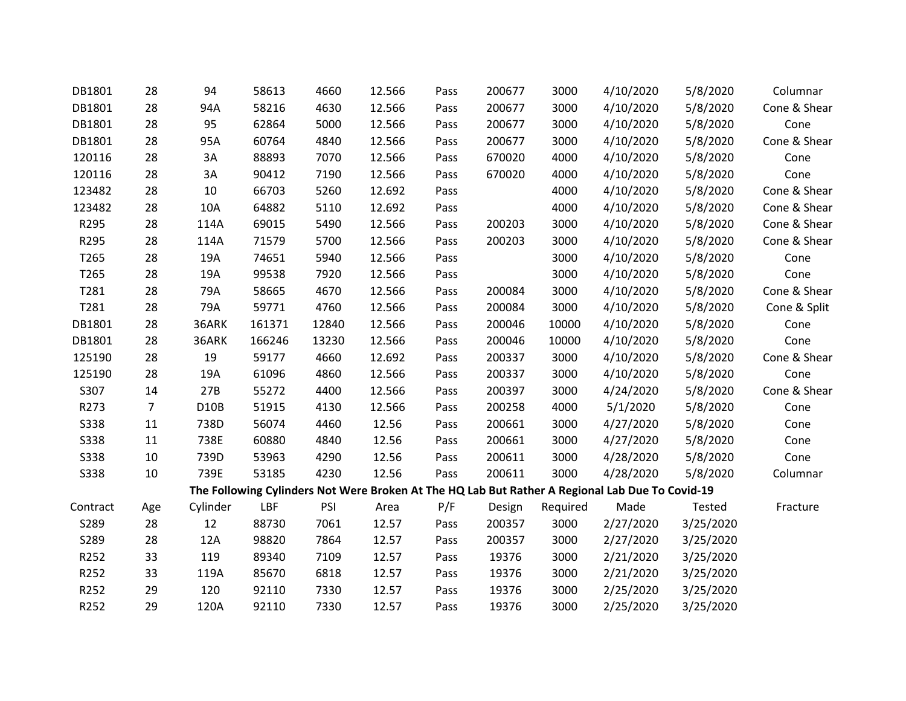| DB1801      | 28             | 94          | 58613  | 4660  | 12.566 | Pass | 200677 | 3000     | 4/10/2020                                                                                       | 5/8/2020  | Columnar     |
|-------------|----------------|-------------|--------|-------|--------|------|--------|----------|-------------------------------------------------------------------------------------------------|-----------|--------------|
| DB1801      | 28             | 94A         | 58216  | 4630  | 12.566 | Pass | 200677 | 3000     | 4/10/2020                                                                                       | 5/8/2020  | Cone & Shear |
| DB1801      | 28             | 95          | 62864  | 5000  | 12.566 | Pass | 200677 | 3000     | 4/10/2020                                                                                       | 5/8/2020  | Cone         |
| DB1801      | 28             | 95A         | 60764  | 4840  | 12.566 | Pass | 200677 | 3000     | 4/10/2020                                                                                       | 5/8/2020  | Cone & Shear |
| 120116      | 28             | 3A          | 88893  | 7070  | 12.566 | Pass | 670020 | 4000     | 4/10/2020                                                                                       | 5/8/2020  | Cone         |
| 120116      | 28             | 3A          | 90412  | 7190  | 12.566 | Pass | 670020 | 4000     | 4/10/2020                                                                                       | 5/8/2020  | Cone         |
| 123482      | 28             | 10          | 66703  | 5260  | 12.692 | Pass |        | 4000     | 4/10/2020                                                                                       | 5/8/2020  | Cone & Shear |
| 123482      | 28             | 10A         | 64882  | 5110  | 12.692 | Pass |        | 4000     | 4/10/2020                                                                                       | 5/8/2020  | Cone & Shear |
| R295        | 28             | 114A        | 69015  | 5490  | 12.566 | Pass | 200203 | 3000     | 4/10/2020                                                                                       | 5/8/2020  | Cone & Shear |
| R295        | 28             | 114A        | 71579  | 5700  | 12.566 | Pass | 200203 | 3000     | 4/10/2020                                                                                       | 5/8/2020  | Cone & Shear |
| T265        | 28             | 19A         | 74651  | 5940  | 12.566 | Pass |        | 3000     | 4/10/2020                                                                                       | 5/8/2020  | Cone         |
| T265        | 28             | 19A         | 99538  | 7920  | 12.566 | Pass |        | 3000     | 4/10/2020                                                                                       | 5/8/2020  | Cone         |
| T281        | 28             | 79A         | 58665  | 4670  | 12.566 | Pass | 200084 | 3000     | 4/10/2020                                                                                       | 5/8/2020  | Cone & Shear |
| T281        | 28             | 79A         | 59771  | 4760  | 12.566 | Pass | 200084 | 3000     | 4/10/2020                                                                                       | 5/8/2020  | Cone & Split |
| DB1801      | 28             | 36ARK       | 161371 | 12840 | 12.566 | Pass | 200046 | 10000    | 4/10/2020                                                                                       | 5/8/2020  | Cone         |
| DB1801      | 28             | 36ARK       | 166246 | 13230 | 12.566 | Pass | 200046 | 10000    | 4/10/2020                                                                                       | 5/8/2020  | Cone         |
| 125190      | 28             | 19          | 59177  | 4660  | 12.692 | Pass | 200337 | 3000     | 4/10/2020                                                                                       | 5/8/2020  | Cone & Shear |
| 125190      | 28             | 19A         | 61096  | 4860  | 12.566 | Pass | 200337 | 3000     | 4/10/2020                                                                                       | 5/8/2020  | Cone         |
| S307        | 14             | 27B         | 55272  | 4400  | 12.566 | Pass | 200397 | 3000     | 4/24/2020                                                                                       | 5/8/2020  | Cone & Shear |
| R273        | $\overline{7}$ | <b>D10B</b> | 51915  | 4130  | 12.566 | Pass | 200258 | 4000     | 5/1/2020                                                                                        | 5/8/2020  | Cone         |
| <b>S338</b> | 11             | 738D        | 56074  | 4460  | 12.56  | Pass | 200661 | 3000     | 4/27/2020                                                                                       | 5/8/2020  | Cone         |
| <b>S338</b> | 11             | 738E        | 60880  | 4840  | 12.56  | Pass | 200661 | 3000     | 4/27/2020                                                                                       | 5/8/2020  | Cone         |
| <b>S338</b> | 10             | 739D        | 53963  | 4290  | 12.56  | Pass | 200611 | 3000     | 4/28/2020                                                                                       | 5/8/2020  | Cone         |
| <b>S338</b> | 10             | 739E        | 53185  | 4230  | 12.56  | Pass | 200611 | 3000     | 4/28/2020                                                                                       | 5/8/2020  | Columnar     |
|             |                |             |        |       |        |      |        |          | The Following Cylinders Not Were Broken At The HQ Lab But Rather A Regional Lab Due To Covid-19 |           |              |
| Contract    | Age            | Cylinder    | LBF    | PSI   | Area   | P/F  | Design | Required | Made                                                                                            | Tested    | Fracture     |
| S289        | 28             | 12          | 88730  | 7061  | 12.57  | Pass | 200357 | 3000     | 2/27/2020                                                                                       | 3/25/2020 |              |
| S289        | 28             | 12A         | 98820  | 7864  | 12.57  | Pass | 200357 | 3000     | 2/27/2020                                                                                       | 3/25/2020 |              |
| R252        | 33             | 119         | 89340  | 7109  | 12.57  | Pass | 19376  | 3000     | 2/21/2020                                                                                       | 3/25/2020 |              |
| R252        | 33             | 119A        | 85670  | 6818  | 12.57  | Pass | 19376  | 3000     | 2/21/2020                                                                                       | 3/25/2020 |              |
| R252        | 29             | 120         | 92110  | 7330  | 12.57  | Pass | 19376  | 3000     | 2/25/2020                                                                                       | 3/25/2020 |              |
| R252        | 29             | 120A        | 92110  | 7330  | 12.57  | Pass | 19376  | 3000     | 2/25/2020                                                                                       | 3/25/2020 |              |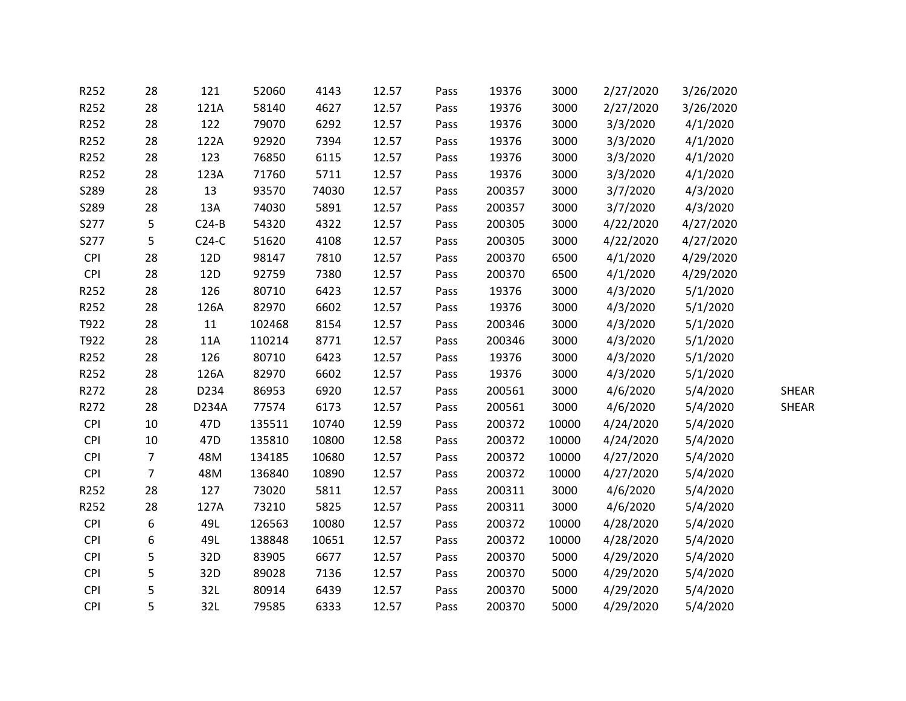| R252       | 28             | 121             | 52060  | 4143  | 12.57 | Pass | 19376  | 3000  | 2/27/2020 | 3/26/2020 |              |
|------------|----------------|-----------------|--------|-------|-------|------|--------|-------|-----------|-----------|--------------|
| R252       | 28             | 121A            | 58140  | 4627  | 12.57 | Pass | 19376  | 3000  | 2/27/2020 | 3/26/2020 |              |
| R252       | 28             | 122             | 79070  | 6292  | 12.57 | Pass | 19376  | 3000  | 3/3/2020  | 4/1/2020  |              |
| R252       | 28             | 122A            | 92920  | 7394  | 12.57 | Pass | 19376  | 3000  | 3/3/2020  | 4/1/2020  |              |
| R252       | 28             | 123             | 76850  | 6115  | 12.57 | Pass | 19376  | 3000  | 3/3/2020  | 4/1/2020  |              |
| R252       | 28             | 123A            | 71760  | 5711  | 12.57 | Pass | 19376  | 3000  | 3/3/2020  | 4/1/2020  |              |
| S289       | 28             | 13              | 93570  | 74030 | 12.57 | Pass | 200357 | 3000  | 3/7/2020  | 4/3/2020  |              |
| S289       | 28             | 13A             | 74030  | 5891  | 12.57 | Pass | 200357 | 3000  | 3/7/2020  | 4/3/2020  |              |
| S277       | 5              | $C24-B$         | 54320  | 4322  | 12.57 | Pass | 200305 | 3000  | 4/22/2020 | 4/27/2020 |              |
| S277       | 5              | $C24-C$         | 51620  | 4108  | 12.57 | Pass | 200305 | 3000  | 4/22/2020 | 4/27/2020 |              |
| CPI        | 28             | 12D             | 98147  | 7810  | 12.57 | Pass | 200370 | 6500  | 4/1/2020  | 4/29/2020 |              |
| <b>CPI</b> | 28             | 12D             | 92759  | 7380  | 12.57 | Pass | 200370 | 6500  | 4/1/2020  | 4/29/2020 |              |
| R252       | 28             | 126             | 80710  | 6423  | 12.57 | Pass | 19376  | 3000  | 4/3/2020  | 5/1/2020  |              |
| R252       | 28             | 126A            | 82970  | 6602  | 12.57 | Pass | 19376  | 3000  | 4/3/2020  | 5/1/2020  |              |
| T922       | 28             | 11              | 102468 | 8154  | 12.57 | Pass | 200346 | 3000  | 4/3/2020  | 5/1/2020  |              |
| T922       | 28             | 11A             | 110214 | 8771  | 12.57 | Pass | 200346 | 3000  | 4/3/2020  | 5/1/2020  |              |
| R252       | 28             | 126             | 80710  | 6423  | 12.57 | Pass | 19376  | 3000  | 4/3/2020  | 5/1/2020  |              |
| R252       | 28             | 126A            | 82970  | 6602  | 12.57 | Pass | 19376  | 3000  | 4/3/2020  | 5/1/2020  |              |
| R272       | 28             | D234            | 86953  | 6920  | 12.57 | Pass | 200561 | 3000  | 4/6/2020  | 5/4/2020  | <b>SHEAR</b> |
| R272       | 28             | D234A           | 77574  | 6173  | 12.57 | Pass | 200561 | 3000  | 4/6/2020  | 5/4/2020  | <b>SHEAR</b> |
| <b>CPI</b> | 10             | 47 <sub>D</sub> | 135511 | 10740 | 12.59 | Pass | 200372 | 10000 | 4/24/2020 | 5/4/2020  |              |
| <b>CPI</b> | 10             | 47 <sub>D</sub> | 135810 | 10800 | 12.58 | Pass | 200372 | 10000 | 4/24/2020 | 5/4/2020  |              |
| <b>CPI</b> | $\overline{7}$ | 48M             | 134185 | 10680 | 12.57 | Pass | 200372 | 10000 | 4/27/2020 | 5/4/2020  |              |
| <b>CPI</b> | $\overline{7}$ | 48M             | 136840 | 10890 | 12.57 | Pass | 200372 | 10000 | 4/27/2020 | 5/4/2020  |              |
| R252       | 28             | 127             | 73020  | 5811  | 12.57 | Pass | 200311 | 3000  | 4/6/2020  | 5/4/2020  |              |
| R252       | 28             | 127A            | 73210  | 5825  | 12.57 | Pass | 200311 | 3000  | 4/6/2020  | 5/4/2020  |              |
| <b>CPI</b> | 6              | 49L             | 126563 | 10080 | 12.57 | Pass | 200372 | 10000 | 4/28/2020 | 5/4/2020  |              |
| <b>CPI</b> | 6              | 49L             | 138848 | 10651 | 12.57 | Pass | 200372 | 10000 | 4/28/2020 | 5/4/2020  |              |
| <b>CPI</b> | 5              | 32D             | 83905  | 6677  | 12.57 | Pass | 200370 | 5000  | 4/29/2020 | 5/4/2020  |              |
| <b>CPI</b> | 5              | 32D             | 89028  | 7136  | 12.57 | Pass | 200370 | 5000  | 4/29/2020 | 5/4/2020  |              |
| <b>CPI</b> | 5              | 32L             | 80914  | 6439  | 12.57 | Pass | 200370 | 5000  | 4/29/2020 | 5/4/2020  |              |
| <b>CPI</b> | 5              | 32L             | 79585  | 6333  | 12.57 | Pass | 200370 | 5000  | 4/29/2020 | 5/4/2020  |              |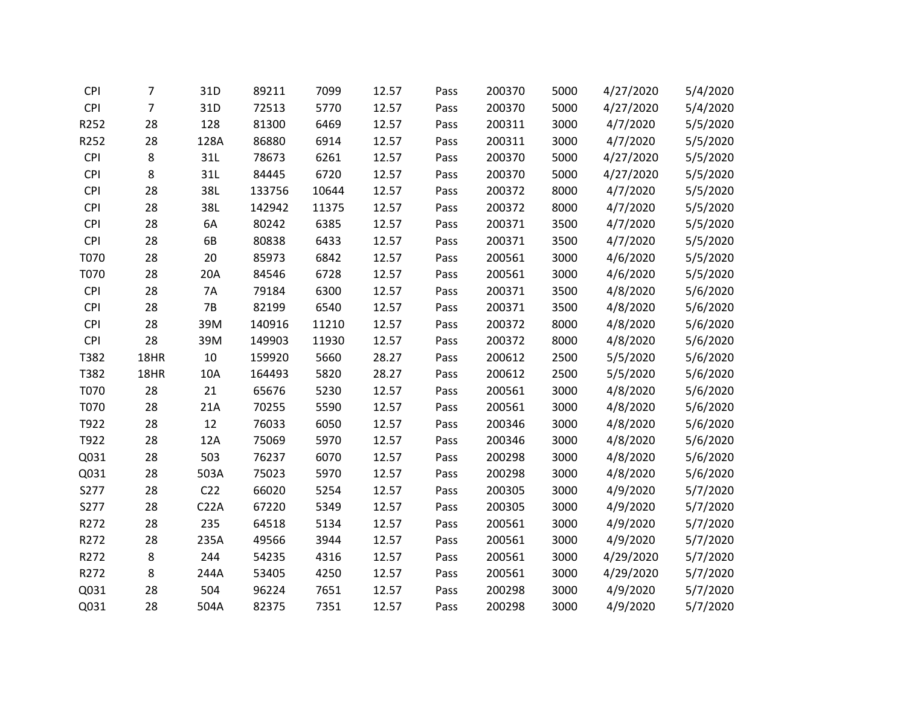| <b>CPI</b> | $\overline{7}$ | 31D             | 89211  | 7099  | 12.57 | Pass | 200370 | 5000 | 4/27/2020 | 5/4/2020 |
|------------|----------------|-----------------|--------|-------|-------|------|--------|------|-----------|----------|
| CPI        | $\overline{7}$ | 31D             | 72513  | 5770  | 12.57 | Pass | 200370 | 5000 | 4/27/2020 | 5/4/2020 |
| R252       | 28             | 128             | 81300  | 6469  | 12.57 | Pass | 200311 | 3000 | 4/7/2020  | 5/5/2020 |
| R252       | 28             | 128A            | 86880  | 6914  | 12.57 | Pass | 200311 | 3000 | 4/7/2020  | 5/5/2020 |
| CPI        | 8              | 31L             | 78673  | 6261  | 12.57 | Pass | 200370 | 5000 | 4/27/2020 | 5/5/2020 |
| <b>CPI</b> | 8              | 31L             | 84445  | 6720  | 12.57 | Pass | 200370 | 5000 | 4/27/2020 | 5/5/2020 |
| <b>CPI</b> | 28             | 38L             | 133756 | 10644 | 12.57 | Pass | 200372 | 8000 | 4/7/2020  | 5/5/2020 |
| <b>CPI</b> | 28             | 38L             | 142942 | 11375 | 12.57 | Pass | 200372 | 8000 | 4/7/2020  | 5/5/2020 |
| <b>CPI</b> | 28             | 6A              | 80242  | 6385  | 12.57 | Pass | 200371 | 3500 | 4/7/2020  | 5/5/2020 |
| CPI        | 28             | 6B              | 80838  | 6433  | 12.57 | Pass | 200371 | 3500 | 4/7/2020  | 5/5/2020 |
| T070       | 28             | 20              | 85973  | 6842  | 12.57 | Pass | 200561 | 3000 | 4/6/2020  | 5/5/2020 |
| T070       | 28             | 20A             | 84546  | 6728  | 12.57 | Pass | 200561 | 3000 | 4/6/2020  | 5/5/2020 |
| <b>CPI</b> | 28             | <b>7A</b>       | 79184  | 6300  | 12.57 | Pass | 200371 | 3500 | 4/8/2020  | 5/6/2020 |
| <b>CPI</b> | 28             | 7B              | 82199  | 6540  | 12.57 | Pass | 200371 | 3500 | 4/8/2020  | 5/6/2020 |
| <b>CPI</b> | 28             | 39M             | 140916 | 11210 | 12.57 | Pass | 200372 | 8000 | 4/8/2020  | 5/6/2020 |
| CPI        | 28             | 39M             | 149903 | 11930 | 12.57 | Pass | 200372 | 8000 | 4/8/2020  | 5/6/2020 |
| T382       | 18HR           | 10              | 159920 | 5660  | 28.27 | Pass | 200612 | 2500 | 5/5/2020  | 5/6/2020 |
| T382       | 18HR           | 10A             | 164493 | 5820  | 28.27 | Pass | 200612 | 2500 | 5/5/2020  | 5/6/2020 |
| T070       | 28             | 21              | 65676  | 5230  | 12.57 | Pass | 200561 | 3000 | 4/8/2020  | 5/6/2020 |
| T070       | 28             | 21A             | 70255  | 5590  | 12.57 | Pass | 200561 | 3000 | 4/8/2020  | 5/6/2020 |
| T922       | 28             | 12              | 76033  | 6050  | 12.57 | Pass | 200346 | 3000 | 4/8/2020  | 5/6/2020 |
| T922       | 28             | 12A             | 75069  | 5970  | 12.57 | Pass | 200346 | 3000 | 4/8/2020  | 5/6/2020 |
| Q031       | 28             | 503             | 76237  | 6070  | 12.57 | Pass | 200298 | 3000 | 4/8/2020  | 5/6/2020 |
| Q031       | 28             | 503A            | 75023  | 5970  | 12.57 | Pass | 200298 | 3000 | 4/8/2020  | 5/6/2020 |
| S277       | 28             | C <sub>22</sub> | 66020  | 5254  | 12.57 | Pass | 200305 | 3000 | 4/9/2020  | 5/7/2020 |
| S277       | 28             | C22A            | 67220  | 5349  | 12.57 | Pass | 200305 | 3000 | 4/9/2020  | 5/7/2020 |
| R272       | 28             | 235             | 64518  | 5134  | 12.57 | Pass | 200561 | 3000 | 4/9/2020  | 5/7/2020 |
| R272       | 28             | 235A            | 49566  | 3944  | 12.57 | Pass | 200561 | 3000 | 4/9/2020  | 5/7/2020 |
| R272       | 8              | 244             | 54235  | 4316  | 12.57 | Pass | 200561 | 3000 | 4/29/2020 | 5/7/2020 |
| R272       | 8              | 244A            | 53405  | 4250  | 12.57 | Pass | 200561 | 3000 | 4/29/2020 | 5/7/2020 |
| Q031       | 28             | 504             | 96224  | 7651  | 12.57 | Pass | 200298 | 3000 | 4/9/2020  | 5/7/2020 |
| Q031       | 28             | 504A            | 82375  | 7351  | 12.57 | Pass | 200298 | 3000 | 4/9/2020  | 5/7/2020 |